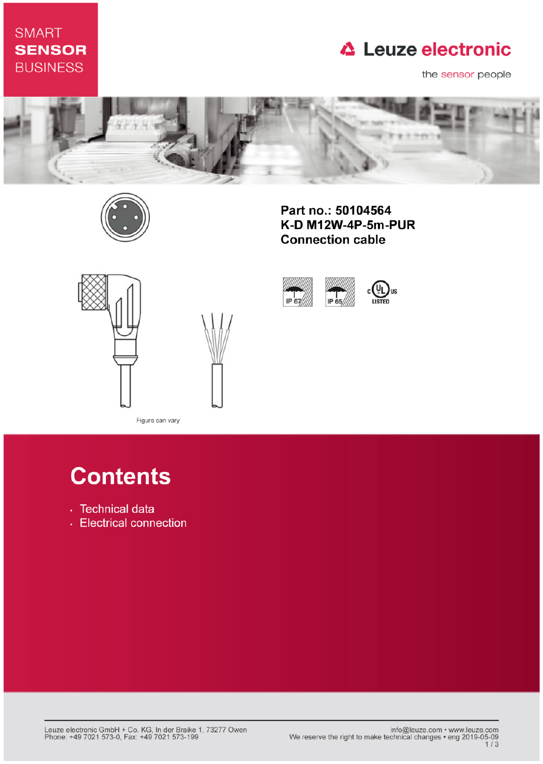## **SMART SENSOR BUSINESS**

## **△ Leuze electronic**

the sensor people



IP 67



Part no.: 50104564 K-D M12W-4P-5m-PUR **Connection cable** 

IP 65





Figure can vary

# **Contents**

- · Technical data
- Electrical connection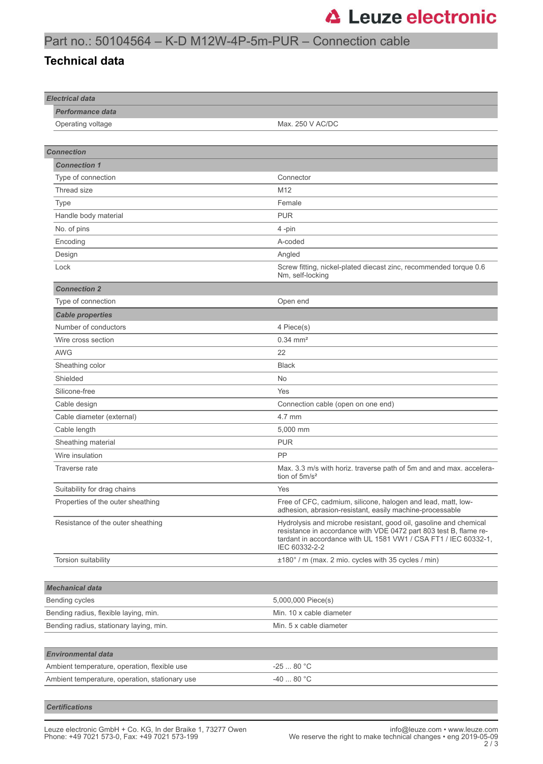#### Part no.: 50104564 – K-D M12W-4P-5m-PUR – Connection cable

#### **Technical data**

| <b>Electrical data</b>                         |                                                                                                                                                                                                                            |
|------------------------------------------------|----------------------------------------------------------------------------------------------------------------------------------------------------------------------------------------------------------------------------|
| <b>Performance data</b>                        |                                                                                                                                                                                                                            |
| Operating voltage                              | Max. 250 V AC/DC                                                                                                                                                                                                           |
|                                                |                                                                                                                                                                                                                            |
| <b>Connection</b>                              |                                                                                                                                                                                                                            |
| <b>Connection 1</b>                            |                                                                                                                                                                                                                            |
| Type of connection                             | Connector                                                                                                                                                                                                                  |
| Thread size                                    | M12                                                                                                                                                                                                                        |
| Type                                           | Female                                                                                                                                                                                                                     |
| Handle body material                           | <b>PUR</b>                                                                                                                                                                                                                 |
| No. of pins                                    | 4-pin                                                                                                                                                                                                                      |
| Encoding                                       | A-coded                                                                                                                                                                                                                    |
| Design                                         | Angled                                                                                                                                                                                                                     |
| Lock                                           | Screw fitting, nickel-plated diecast zinc, recommended torque 0.6<br>Nm, self-locking                                                                                                                                      |
| <b>Connection 2</b>                            |                                                                                                                                                                                                                            |
| Type of connection                             | Open end                                                                                                                                                                                                                   |
| <b>Cable properties</b>                        |                                                                                                                                                                                                                            |
| Number of conductors                           | 4 Piece(s)                                                                                                                                                                                                                 |
| Wire cross section                             | $0.34 \, \text{mm}^2$                                                                                                                                                                                                      |
| <b>AWG</b>                                     | 22                                                                                                                                                                                                                         |
| Sheathing color                                | <b>Black</b>                                                                                                                                                                                                               |
| Shielded                                       | No                                                                                                                                                                                                                         |
| Silicone-free                                  | Yes                                                                                                                                                                                                                        |
| Cable design                                   | Connection cable (open on one end)                                                                                                                                                                                         |
| Cable diameter (external)                      | 4.7 mm                                                                                                                                                                                                                     |
| Cable length                                   | 5,000 mm                                                                                                                                                                                                                   |
| Sheathing material                             | <b>PUR</b>                                                                                                                                                                                                                 |
| Wire insulation                                | PP                                                                                                                                                                                                                         |
| Traverse rate                                  | Max. 3.3 m/s with horiz. traverse path of 5m and and max. accelera-<br>tion of $5m/s^2$                                                                                                                                    |
| Suitability for drag chains                    | Yes                                                                                                                                                                                                                        |
| Properties of the outer sheathing              | Free of CFC, cadmium, silicone, halogen and lead, matt, low-<br>adhesion, abrasion-resistant, easily machine-processable                                                                                                   |
| Resistance of the outer sheathing              | Hydrolysis and microbe resistant, good oil, gasoline and chemical<br>resistance in accordance with VDE 0472 part 803 test B, flame re-<br>tardant in accordance with UL 1581 VW1 / CSA FT1 / IEC 60332-1,<br>IEC 60332-2-2 |
| Torsion suitability                            | ±180° / m (max. 2 mio. cycles with 35 cycles / min)                                                                                                                                                                        |
|                                                |                                                                                                                                                                                                                            |
| <b>Mechanical data</b>                         |                                                                                                                                                                                                                            |
| Bending cycles                                 | 5,000,000 Piece(s)                                                                                                                                                                                                         |
| Bending radius, flexible laying, min.          | Min. 10 x cable diameter                                                                                                                                                                                                   |
| Bending radius, stationary laying, min.        | Min. 5 x cable diameter                                                                                                                                                                                                    |
|                                                |                                                                                                                                                                                                                            |
| <b>Environmental data</b>                      |                                                                                                                                                                                                                            |
| Ambient temperature, operation, flexible use   | $-2580 °C$                                                                                                                                                                                                                 |
| Ambient temperature, operation, stationary use | -40  80 °C                                                                                                                                                                                                                 |
|                                                |                                                                                                                                                                                                                            |

*Certifications*